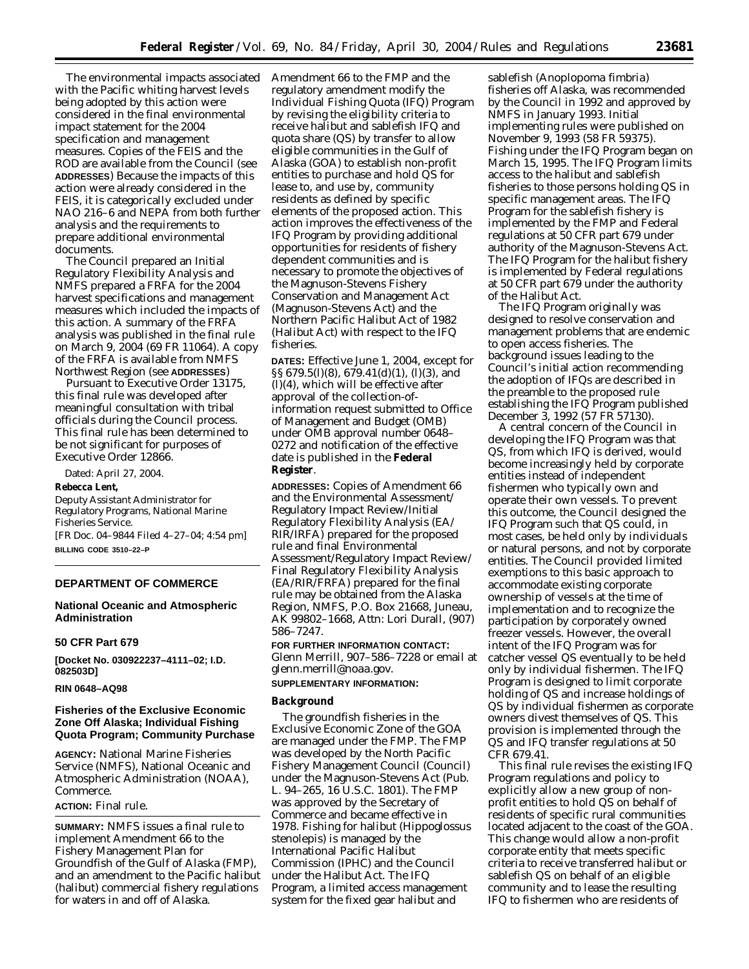The environmental impacts associated Amendment 66 to the FMP and the with the Pacific whiting harvest levels being adopted by this action were considered in the final environmental impact statement for the 2004 specification and management measures. Copies of the FEIS and the ROD are available from the Council (*see* **ADDRESSES**) Because the impacts of this action were already considered in the FEIS, it is categorically excluded under NAO 216–6 and NEPA from both further analysis and the requirements to prepare additional environmental documents.

The Council prepared an Initial Regulatory Flexibility Analysis and NMFS prepared a FRFA for the 2004 harvest specifications and management measures which included the impacts of this action. A summary of the FRFA analysis was published in the final rule on March 9, 2004 (69 FR 11064). A copy of the FRFA is available from NMFS Northwest Region (*see* **ADDRESSES**)

Pursuant to Executive Order 13175, this final rule was developed after meaningful consultation with tribal officials during the Council process. This final rule has been determined to be not significant for purposes of Executive Order 12866.

Dated: April 27, 2004.

#### **Rebecca Lent,**

*Deputy Assistant Administrator for Regulatory Programs, National Marine Fisheries Service.*

[FR Doc. 04–9844 Filed 4–27–04; 4:54 pm] **BILLING CODE 3510–22–P**

## **DEPARTMENT OF COMMERCE**

# **National Oceanic and Atmospheric Administration**

### **50 CFR Part 679**

**[Docket No. 030922237–4111–02; I.D. 082503D]**

### **RIN 0648–AQ98**

### **Fisheries of the Exclusive Economic Zone Off Alaska; Individual Fishing Quota Program; Community Purchase**

**AGENCY:** National Marine Fisheries Service (NMFS), National Oceanic and Atmospheric Administration (NOAA), Commerce.

# **ACTION:** Final rule.

**SUMMARY:** NMFS issues a final rule to implement Amendment 66 to the Fishery Management Plan for Groundfish of the Gulf of Alaska (FMP), and an amendment to the Pacific halibut (halibut) commercial fishery regulations for waters in and off of Alaska.

regulatory amendment modify the Individual Fishing Quota (IFQ) Program by revising the eligibility criteria to receive halibut and sablefish IFQ and quota share (QS) by transfer to allow eligible communities in the Gulf of Alaska (GOA) to establish non-profit entities to purchase and hold QS for lease to, and use by, community residents as defined by specific elements of the proposed action. This action improves the effectiveness of the IFQ Program by providing additional opportunities for residents of fishery dependent communities and is necessary to promote the objectives of the Magnuson-Stevens Fishery Conservation and Management Act (Magnuson-Stevens Act) and the Northern Pacific Halibut Act of 1982 (Halibut Act) with respect to the IFQ fisheries.

**DATES:** Effective June 1, 2004, except for §§ 679.5(l)(8), 679.41(d)(1), (l)(3), and (l)(4), which will be effective after approval of the collection-ofinformation request submitted to Office of Management and Budget (OMB) under OMB approval number 0648– 0272 and notification of the effective date is published in the **Federal Register**.

**ADDRESSES:** Copies of Amendment 66 and the Environmental Assessment/ Regulatory Impact Review/Initial Regulatory Flexibility Analysis (EA/ RIR/IRFA) prepared for the proposed rule and final Environmental Assessment/Regulatory Impact Review/ Final Regulatory Flexibility Analysis (EA/RIR/FRFA) prepared for the final rule may be obtained from the Alaska Region, NMFS, P.O. Box 21668, Juneau, AK 99802–1668, Attn: Lori Durall, (907) 586–7247.

**FOR FURTHER INFORMATION CONTACT:** Glenn Merrill, 907–586–7228 or email at *[glenn.merrill@noaa.gov](mailto:glenn.merrill@noaa.gov)*.

#### **SUPPLEMENTARY INFORMATION:**

### **Background**

The groundfish fisheries in the Exclusive Economic Zone of the GOA are managed under the FMP. The FMP was developed by the North Pacific Fishery Management Council (Council) under the Magnuson-Stevens Act (Pub. L. 94–265, 16 U.S.C. 1801). The FMP was approved by the Secretary of Commerce and became effective in 1978. Fishing for halibut (*Hippoglossus stenolepis*) is managed by the International Pacific Halibut Commission (IPHC) and the Council under the Halibut Act. The IFQ Program, a limited access management system for the fixed gear halibut and

sablefish (*Anoplopoma fimbria*) fisheries off Alaska, was recommended by the Council in 1992 and approved by NMFS in January 1993. Initial implementing rules were published on November 9, 1993 (58 FR 59375). Fishing under the IFQ Program began on March 15, 1995. The IFQ Program limits access to the halibut and sablefish fisheries to those persons holding QS in specific management areas. The IFQ Program for the sablefish fishery is implemented by the FMP and Federal regulations at 50 CFR part 679 under authority of the Magnuson-Stevens Act. The IFQ Program for the halibut fishery is implemented by Federal regulations at 50 CFR part 679 under the authority of the Halibut Act.

The IFQ Program originally was designed to resolve conservation and management problems that are endemic to open access fisheries. The background issues leading to the Council's initial action recommending the adoption of IFQs are described in the preamble to the proposed rule establishing the IFQ Program published December 3, 1992 (57 FR 57130).

A central concern of the Council in developing the IFQ Program was that QS, from which IFQ is derived, would become increasingly held by corporate entities instead of independent fishermen who typically own and operate their own vessels. To prevent this outcome, the Council designed the IFQ Program such that QS could, in most cases, be held only by individuals or natural persons, and not by corporate entities. The Council provided limited exemptions to this basic approach to accommodate existing corporate ownership of vessels at the time of implementation and to recognize the participation by corporately owned freezer vessels. However, the overall intent of the IFQ Program was for catcher vessel QS eventually to be held only by individual fishermen. The IFQ Program is designed to limit corporate holding of QS and increase holdings of QS by individual fishermen as corporate owners divest themselves of QS. This provision is implemented through the QS and IFQ transfer regulations at 50 CFR 679.41.

This final rule revises the existing IFQ Program regulations and policy to explicitly allow a new group of nonprofit entities to hold QS on behalf of residents of specific rural communities located adjacent to the coast of the GOA. This change would allow a non-profit corporate entity that meets specific criteria to receive transferred halibut or sablefish QS on behalf of an eligible community and to lease the resulting IFQ to fishermen who are residents of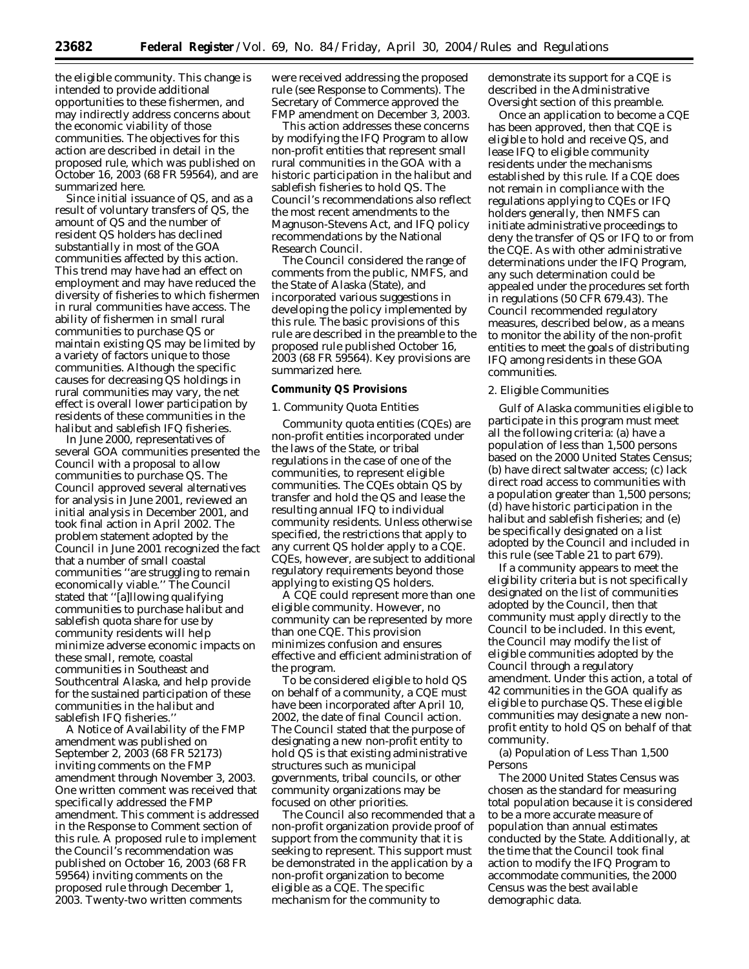the eligible community. This change is intended to provide additional opportunities to these fishermen, and may indirectly address concerns about the economic viability of those communities. The objectives for this action are described in detail in the proposed rule, which was published on October 16, 2003 (68 FR 59564), and are summarized here.

Since initial issuance of QS, and as a result of voluntary transfers of QS, the amount of QS and the number of resident QS holders has declined substantially in most of the GOA communities affected by this action. This trend may have had an effect on employment and may have reduced the diversity of fisheries to which fishermen in rural communities have access. The ability of fishermen in small rural communities to purchase QS or maintain existing QS may be limited by a variety of factors unique to those communities. Although the specific causes for decreasing QS holdings in rural communities may vary, the net effect is overall lower participation by residents of these communities in the halibut and sablefish IFQ fisheries.

In June 2000, representatives of several GOA communities presented the Council with a proposal to allow communities to purchase QS. The Council approved several alternatives for analysis in June 2001, reviewed an initial analysis in December 2001, and took final action in April 2002. The problem statement adopted by the Council in June 2001 recognized the fact that a number of small coastal communities ''are struggling to remain economically viable.'' The Council stated that ''[a]llowing qualifying communities to purchase halibut and sablefish quota share for use by community residents will help minimize adverse economic impacts on these small, remote, coastal communities in Southeast and Southcentral Alaska, and help provide for the sustained participation of these communities in the halibut and sablefish IFQ fisheries.''

A Notice of Availability of the FMP amendment was published on September 2, 2003 (68 FR 52173) inviting comments on the FMP amendment through November 3, 2003. One written comment was received that specifically addressed the FMP amendment. This comment is addressed in the Response to Comment section of this rule. A proposed rule to implement the Council's recommendation was published on October 16, 2003 (68 FR 59564) inviting comments on the proposed rule through December 1, 2003. Twenty-two written comments

were received addressing the proposed rule (see Response to Comments). The Secretary of Commerce approved the FMP amendment on December 3, 2003.

This action addresses these concerns by modifying the IFQ Program to allow non-profit entities that represent small rural communities in the GOA with a historic participation in the halibut and sablefish fisheries to hold QS. The Council's recommendations also reflect the most recent amendments to the Magnuson-Stevens Act, and IFQ policy recommendations by the National Research Council.

The Council considered the range of comments from the public, NMFS, and the State of Alaska (State), and incorporated various suggestions in developing the policy implemented by this rule. The basic provisions of this rule are described in the preamble to the proposed rule published October 16, 2003 (68 FR 59564). Key provisions are summarized here.

#### **Community QS Provisions**

### *1. Community Quota Entities*

Community quota entities (CQEs) are non-profit entities incorporated under the laws of the State, or tribal regulations in the case of one of the communities, to represent eligible communities. The CQEs obtain QS by transfer and hold the QS and lease the resulting annual IFQ to individual community residents. Unless otherwise specified, the restrictions that apply to any current QS holder apply to a CQE. CQEs, however, are subject to additional regulatory requirements beyond those applying to existing QS holders.

A CQE could represent more than one eligible community. However, no community can be represented by more than one CQE. This provision minimizes confusion and ensures effective and efficient administration of the program.

To be considered eligible to hold QS on behalf of a community, a CQE must have been incorporated after April 10, 2002, the date of final Council action. The Council stated that the purpose of designating a new non-profit entity to hold QS is that existing administrative structures such as municipal governments, tribal councils, or other community organizations may be focused on other priorities.

The Council also recommended that a non-profit organization provide proof of support from the community that it is seeking to represent. This support must be demonstrated in the application by a non-profit organization to become eligible as a CQE. The specific mechanism for the community to

demonstrate its support for a CQE is described in the Administrative Oversight section of this preamble.

Once an application to become a CQE has been approved, then that CQE is eligible to hold and receive QS, and lease IFQ to eligible community residents under the mechanisms established by this rule. If a CQE does not remain in compliance with the regulations applying to CQEs or IFQ holders generally, then NMFS can initiate administrative proceedings to deny the transfer of QS or IFQ to or from the CQE. As with other administrative determinations under the IFQ Program, any such determination could be appealed under the procedures set forth in regulations (50 CFR 679.43). The Council recommended regulatory measures, described below, as a means to monitor the ability of the non-profit entities to meet the goals of distributing IFQ among residents in these GOA communities.

#### *2. Eligible Communities*

Gulf of Alaska communities eligible to participate in this program must meet all the following criteria: (a) have a population of less than 1,500 persons based on the 2000 United States Census; (b) have direct saltwater access; (c) lack direct road access to communities with a population greater than 1,500 persons; (d) have historic participation in the halibut and sablefish fisheries; and (e) be specifically designated on a list adopted by the Council and included in this rule (see Table 21 to part 679).

If a community appears to meet the eligibility criteria but is not specifically designated on the list of communities adopted by the Council, then that community must apply directly to the Council to be included. In this event, the Council may modify the list of eligible communities adopted by the Council through a regulatory amendment. Under this action, a total of 42 communities in the GOA qualify as eligible to purchase QS. These eligible communities may designate a new nonprofit entity to hold QS on behalf of that community.

(a) Population of Less Than 1,500 Persons

The 2000 United States Census was chosen as the standard for measuring total population because it is considered to be a more accurate measure of population than annual estimates conducted by the State. Additionally, at the time that the Council took final action to modify the IFQ Program to accommodate communities, the 2000 Census was the best available demographic data.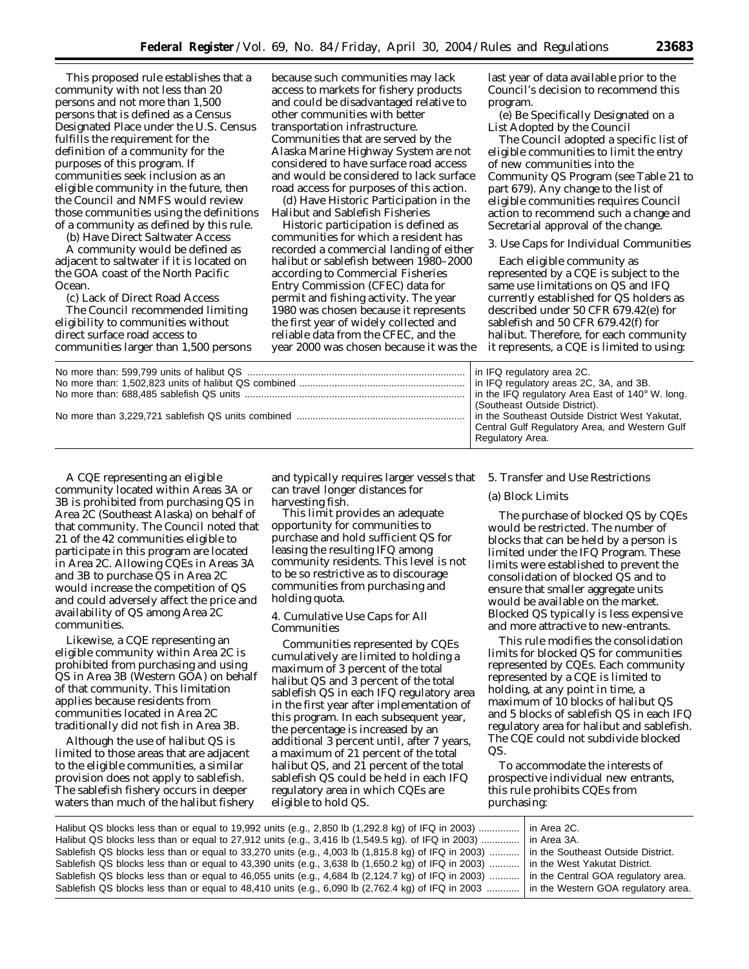This proposed rule establishes that a community with not less than 20 persons and not more than 1,500 persons that is defined as a Census Designated Place under the U.S. Census fulfills the requirement for the definition of a community for the purposes of this program. If communities seek inclusion as an eligible community in the future, then the Council and NMFS would review those communities using the definitions of a community as defined by this rule.

(b) Have Direct Saltwater Access

A community would be defined as adjacent to saltwater if it is located on the GOA coast of the North Pacific Ocean.

(c) Lack of Direct Road Access The Council recommended limiting eligibility to communities without direct surface road access to communities larger than 1,500 persons

because such communities may lack access to markets for fishery products and could be disadvantaged relative to other communities with better transportation infrastructure. Communities that are served by the Alaska Marine Highway System are not considered to have surface road access and would be considered to lack surface road access for purposes of this action.

(d) Have Historic Participation in the Halibut and Sablefish Fisheries

*Historic participation* is defined as communities for which a resident has recorded a commercial landing of either halibut or sablefish between 1980–2000 according to Commercial Fisheries Entry Commission (CFEC) data for permit and fishing activity. The year 1980 was chosen because it represents the first year of widely collected and reliable data from the CFEC, and the year 2000 was chosen because it was the last year of data available prior to the Council's decision to recommend this program.

(e) Be Specifically Designated on a List Adopted by the Council

The Council adopted a specific list of eligible communities to limit the entry of new communities into the Community QS Program (see Table 21 to part 679). Any change to the list of eligible communities requires Council action to recommend such a change and Secretarial approval of the change.

#### *3. Use Caps for Individual Communities*

Each eligible community as represented by a CQE is subject to the same use limitations on QS and IFQ currently established for QS holders as described under 50 CFR 679.42(e) for sablefish and 50 CFR 679.42(f) for halibut. Therefore, for each community it represents, a CQE is limited to using:

| in IFQ regulatory area 2C.<br>in IFQ regulatory areas 2C, 3A, and 3B. |
|-----------------------------------------------------------------------|
|                                                                       |
| (Southeast Outside District).                                         |
| In the Southeast Outside District West Yakutat.                       |
| Central Gulf Regulatory Area, and Western Gulf                        |
| Regulatory Area.                                                      |
|                                                                       |

A CQE representing an eligible community located within Areas 3A or 3B is prohibited from purchasing QS in Area 2C (Southeast Alaska) on behalf of that community. The Council noted that 21 of the 42 communities eligible to participate in this program are located in Area 2C. Allowing CQEs in Areas 3A and 3B to purchase QS in Area 2C would increase the competition of QS and could adversely affect the price and availability of QS among Area 2C communities.

Likewise, a CQE representing an eligible community within Area 2C is prohibited from purchasing and using QS in Area 3B (Western GOA) on behalf of that community. This limitation applies because residents from communities located in Area 2C traditionally did not fish in Area 3B.

Although the use of halibut QS is limited to those areas that are adjacent to the eligible communities, a similar provision does not apply to sablefish. The sablefish fishery occurs in deeper waters than much of the halibut fishery

and typically requires larger vessels that can travel longer distances for harvesting fish.

This limit provides an adequate opportunity for communities to purchase and hold sufficient QS for leasing the resulting IFQ among community residents. This level is not to be so restrictive as to discourage communities from purchasing and holding quota.

### *4. Cumulative Use Caps for All Communities*

Communities represented by CQEs cumulatively are limited to holding a maximum of 3 percent of the total halibut QS and 3 percent of the total sablefish QS in each IFQ regulatory area in the first year after implementation of this program. In each subsequent year, the percentage is increased by an additional 3 percent until, after 7 years, a maximum of 21 percent of the total halibut QS, and 21 percent of the total sablefish QS could be held in each IFQ regulatory area in which CQEs are eligible to hold QS.

#### *5. Transfer and Use Restrictions*

### (a) Block Limits

The purchase of blocked QS by CQEs would be restricted. The number of blocks that can be held by a person is limited under the IFQ Program. These limits were established to prevent the consolidation of blocked QS and to ensure that smaller aggregate units would be available on the market. Blocked QS typically is less expensive and more attractive to new-entrants.

This rule modifies the consolidation limits for blocked QS for communities represented by CQEs. Each community represented by a CQE is limited to holding, at any point in time, a maximum of 10 blocks of halibut QS and 5 blocks of sablefish QS in each IFQ regulatory area for halibut and sablefish. The CQE could not subdivide blocked QS.

To accommodate the interests of prospective individual new entrants, this rule prohibits CQEs from purchasing:

| Halibut QS blocks less than or equal to 19,992 units (e.g., 2,850 lb (1,292.8 kg) of IFQ in 2003)                                         | l in Area 2C.                       |
|-------------------------------------------------------------------------------------------------------------------------------------------|-------------------------------------|
|                                                                                                                                           |                                     |
| Halibut QS blocks less than or equal to 27,912 units (e.g., 3,416 lb (1,549.5 kg). of IFQ in 2003)                                        | l in Area 3A.                       |
| Sablefish QS blocks less than or equal to 33,270 units (e.g., 4,003 lb $(1,815.8 \text{ kg})$ of IFQ in 2003)                             | In the Southeast Outside District.  |
| Sablefish QS blocks less than or equal to 43,390 units (e.g., 3,638 lb (1,650.2 kg) of IFQ in 2003)                                       | I in the West Yakutat District.     |
| Sablefish QS blocks less than or equal to 46,055 units (e.g., 4,684 lb (2,124.7 kg) of IFQ in 2003)                                       | in the Central GOA regulatory area. |
| Sablefish QS blocks less than or equal to 48,410 units (e.g., 6,090 lb (2,762.4 kg) of IFQ in 2003    in the Western GOA regulatory area. |                                     |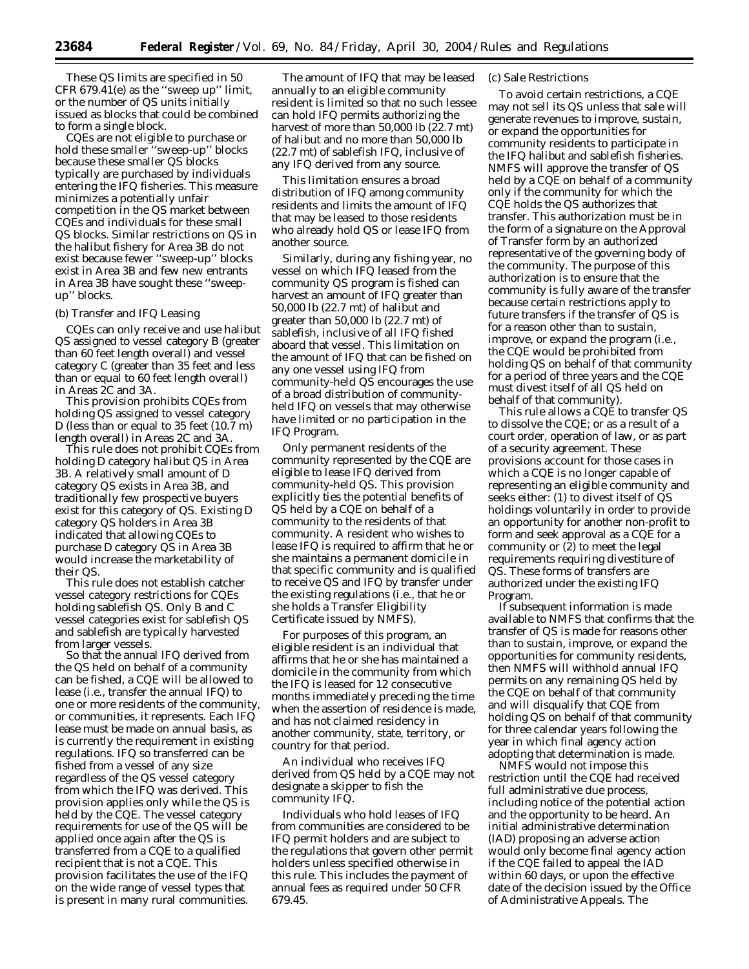These QS limits are specified in 50 CFR 679.41(e) as the ''sweep up'' limit, or the number of QS units initially issued as blocks that could be combined to form a single block.

CQEs are not eligible to purchase or hold these smaller ''sweep-up'' blocks because these smaller QS blocks typically are purchased by individuals entering the IFQ fisheries. This measure minimizes a potentially unfair competition in the QS market between CQEs and individuals for these small QS blocks. Similar restrictions on QS in the halibut fishery for Area 3B do not exist because fewer ''sweep-up'' blocks exist in Area 3B and few new entrants in Area 3B have sought these ''sweepup'' blocks.

### (b) Transfer and IFQ Leasing

CQEs can only receive and use halibut QS assigned to vessel category B (greater than 60 feet length overall) and vessel category C (greater than 35 feet and less than or equal to 60 feet length overall) in Areas 2C and 3A.

This provision prohibits CQEs from holding QS assigned to vessel category D (less than or equal to 35 feet (10.7 m) length overall) in Areas 2C and 3A.

This rule does not prohibit CQEs from holding D category halibut QS in Area 3B. A relatively small amount of D category QS exists in Area 3B, and traditionally few prospective buyers exist for this category of QS. Existing D category QS holders in Area 3B indicated that allowing CQEs to purchase D category QS in Area 3B would increase the marketability of their QS.

This rule does not establish catcher vessel category restrictions for CQEs holding sablefish QS. Only B and C vessel categories exist for sablefish QS and sablefish are typically harvested from larger vessels.

So that the annual IFQ derived from the QS held on behalf of a community can be fished, a CQE will be allowed to lease (i.e., transfer the annual IFQ) to one or more residents of the community, or communities, it represents. Each IFQ lease must be made on annual basis, as is currently the requirement in existing regulations. IFQ so transferred can be fished from a vessel of any size regardless of the QS vessel category from which the IFQ was derived. This provision applies only while the QS is held by the CQE. The vessel category requirements for use of the QS will be applied once again after the QS is transferred from a CQE to a qualified recipient that is not a CQE. This provision facilitates the use of the IFQ on the wide range of vessel types that is present in many rural communities.

The amount of IFQ that may be leased annually to an eligible community resident is limited so that no such lessee can hold IFQ permits authorizing the harvest of more than 50,000 lb (22.7 mt) of halibut and no more than 50,000 lb (22.7 mt) of sablefish IFQ, inclusive of any IFQ derived from any source.

This limitation ensures a broad distribution of IFQ among community residents and limits the amount of IFQ that may be leased to those residents who already hold QS or lease IFQ from another source.

Similarly, during any fishing year, no vessel on which IFQ leased from the community QS program is fished can harvest an amount of IFQ greater than 50,000 lb (22.7 mt) of halibut and greater than 50,000 lb (22.7 mt) of sablefish, inclusive of all IFQ fished aboard that vessel. This limitation on the amount of IFQ that can be fished on any one vessel using IFQ from community-held QS encourages the use of a broad distribution of communityheld IFQ on vessels that may otherwise have limited or no participation in the IFQ Program.

Only permanent residents of the community represented by the CQE are eligible to lease IFQ derived from community-held QS. This provision explicitly ties the potential benefits of QS held by a CQE on behalf of a community to the residents of that community. A resident who wishes to lease IFQ is required to affirm that he or she maintains a permanent domicile in that specific community and is qualified to receive QS and IFQ by transfer under the existing regulations (i.e., that he or she holds a Transfer Eligibility Certificate issued by NMFS).

For purposes of this program, an eligible resident is an individual that affirms that he or she has maintained a domicile in the community from which the IFQ is leased for 12 consecutive months immediately preceding the time when the assertion of residence is made, and has not claimed residency in another community, state, territory, or country for that period.

An individual who receives IFQ derived from QS held by a CQE may not designate a skipper to fish the community IFQ.

Individuals who hold leases of IFQ from communities are considered to be IFQ permit holders and are subject to the regulations that govern other permit holders unless specified otherwise in this rule. This includes the payment of annual fees as required under 50 CFR 679.45.

## (c) Sale Restrictions

To avoid certain restrictions, a CQE may not sell its QS unless that sale will generate revenues to improve, sustain, or expand the opportunities for community residents to participate in the IFQ halibut and sablefish fisheries. NMFS will approve the transfer of QS held by a CQE on behalf of a community only if the community for which the CQE holds the QS authorizes that transfer. This authorization must be in the form of a signature on the Approval of Transfer form by an authorized representative of the governing body of the community. The purpose of this authorization is to ensure that the community is fully aware of the transfer because certain restrictions apply to future transfers if the transfer of QS is for a reason other than to sustain, improve, or expand the program (i.e., the CQE would be prohibited from holding QS on behalf of that community for a period of three years and the CQE must divest itself of all QS held on behalf of that community).

This rule allows a CQE to transfer QS to dissolve the CQE; or as a result of a court order, operation of law, or as part of a security agreement. These provisions account for those cases in which a CQE is no longer capable of representing an eligible community and seeks either: (1) to divest itself of QS holdings voluntarily in order to provide an opportunity for another non-profit to form and seek approval as a CQE for a community or (2) to meet the legal requirements requiring divestiture of QS. These forms of transfers are authorized under the existing IFQ Program.

If subsequent information is made available to NMFS that confirms that the transfer of QS is made for reasons other than to sustain, improve, or expand the opportunities for community residents, then NMFS will withhold annual IFQ permits on any remaining QS held by the CQE on behalf of that community and will disqualify that CQE from holding QS on behalf of that community for three calendar years following the year in which final agency action adopting that determination is made.

NMFS would not impose this restriction until the CQE had received full administrative due process, including notice of the potential action and the opportunity to be heard. An initial administrative determination (IAD) proposing an adverse action would only become final agency action if the CQE failed to appeal the IAD within 60 days, or upon the effective date of the decision issued by the Office of Administrative Appeals. The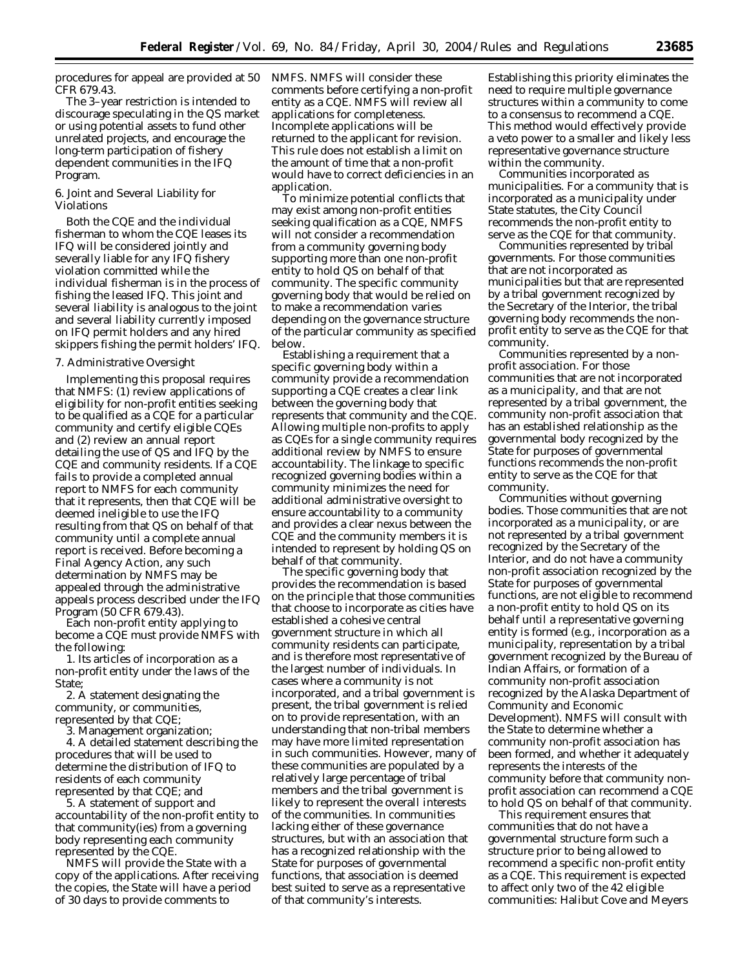procedures for appeal are provided at 50 NMFS. NMFS will consider these CFR 679.43.

The 3–year restriction is intended to discourage speculating in the QS market or using potential assets to fund other unrelated projects, and encourage the long-term participation of fishery dependent communities in the IFQ Program.

# *6. Joint and Several Liability for Violations*

Both the CQE and the individual fisherman to whom the CQE leases its IFQ will be considered jointly and severally liable for any IFQ fishery violation committed while the individual fisherman is in the process of fishing the leased IFQ. This joint and several liability is analogous to the joint and several liability currently imposed on IFQ permit holders and any hired skippers fishing the permit holders' IFQ.

#### *7. Administrative Oversight*

Implementing this proposal requires that NMFS: (1) review applications of eligibility for non-profit entities seeking to be qualified as a CQE for a particular community and certify eligible CQEs and (2) review an annual report detailing the use of QS and IFQ by the CQE and community residents. If a CQE fails to provide a completed annual report to NMFS for each community that it represents, then that CQE will be deemed ineligible to use the IFQ resulting from that QS on behalf of that community until a complete annual report is received. Before becoming a Final Agency Action, any such determination by NMFS may be appealed through the administrative appeals process described under the IFQ Program (50 CFR 679.43).

Each non-profit entity applying to become a CQE must provide NMFS with the following:

1. Its articles of incorporation as a non-profit entity under the laws of the State;

2. A statement designating the community, or communities, represented by that CQE;

3. Management organization;

4. A detailed statement describing the procedures that will be used to determine the distribution of IFQ to residents of each community represented by that CQE; and

5. A statement of support and accountability of the non-profit entity to that community(ies) from a governing body representing each community represented by the CQE.

NMFS will provide the State with a copy of the applications. After receiving the copies, the State will have a period of 30 days to provide comments to

comments before certifying a non-profit entity as a CQE. NMFS will review all applications for completeness. Incomplete applications will be returned to the applicant for revision. This rule does not establish a limit on the amount of time that a non-profit would have to correct deficiencies in an application.

To minimize potential conflicts that may exist among non-profit entities seeking qualification as a CQE, NMFS will not consider a recommendation from a community governing body supporting more than one non-profit entity to hold QS on behalf of that community. The specific community governing body that would be relied on to make a recommendation varies depending on the governance structure of the particular community as specified below.

Establishing a requirement that a specific governing body within a community provide a recommendation supporting a CQE creates a clear link between the governing body that represents that community and the CQE. Allowing multiple non-profits to apply as CQEs for a single community requires additional review by NMFS to ensure accountability. The linkage to specific recognized governing bodies within a community minimizes the need for additional administrative oversight to ensure accountability to a community and provides a clear nexus between the CQE and the community members it is intended to represent by holding QS on behalf of that community.

The specific governing body that provides the recommendation is based on the principle that those communities that choose to incorporate as cities have established a cohesive central government structure in which all community residents can participate, and is therefore most representative of the largest number of individuals. In cases where a community is not incorporated, and a tribal government is present, the tribal government is relied on to provide representation, with an understanding that non-tribal members may have more limited representation in such communities. However, many of these communities are populated by a relatively large percentage of tribal members and the tribal government is likely to represent the overall interests of the communities. In communities lacking either of these governance structures, but with an association that has a recognized relationship with the State for purposes of governmental functions, that association is deemed best suited to serve as a representative of that community's interests.

Establishing this priority eliminates the need to require multiple governance structures within a community to come to a consensus to recommend a CQE. This method would effectively provide a veto power to a smaller and likely less representative governance structure within the community.

*Communities incorporated as municipalities.* For a community that is incorporated as a municipality under State statutes, the City Council recommends the non-profit entity to serve as the CQE for that community.

*Communities represented by tribal governments.* For those communities that are not incorporated as municipalities but that are represented by a tribal government recognized by the Secretary of the Interior, the tribal governing body recommends the nonprofit entity to serve as the CQE for that community.

*Communities represented by a nonprofit association.* For those communities that are not incorporated as a municipality, and that are not represented by a tribal government, the community non-profit association that has an established relationship as the governmental body recognized by the State for purposes of governmental functions recommends the non-profit entity to serve as the CQE for that community.

*Communities without governing bodies.* Those communities that are not incorporated as a municipality, or are not represented by a tribal government recognized by the Secretary of the Interior, and do not have a community non-profit association recognized by the State for purposes of governmental functions, are not eligible to recommend a non-profit entity to hold QS on its behalf until a representative governing entity is formed (e.g., incorporation as a municipality, representation by a tribal government recognized by the Bureau of Indian Affairs, or formation of a community non-profit association recognized by the Alaska Department of Community and Economic Development). NMFS will consult with the State to determine whether a community non-profit association has been formed, and whether it adequately represents the interests of the community before that community nonprofit association can recommend a CQE to hold QS on behalf of that community.

This requirement ensures that communities that do not have a governmental structure form such a structure prior to being allowed to recommend a specific non-profit entity as a CQE. This requirement is expected to affect only two of the 42 eligible communities: Halibut Cove and Meyers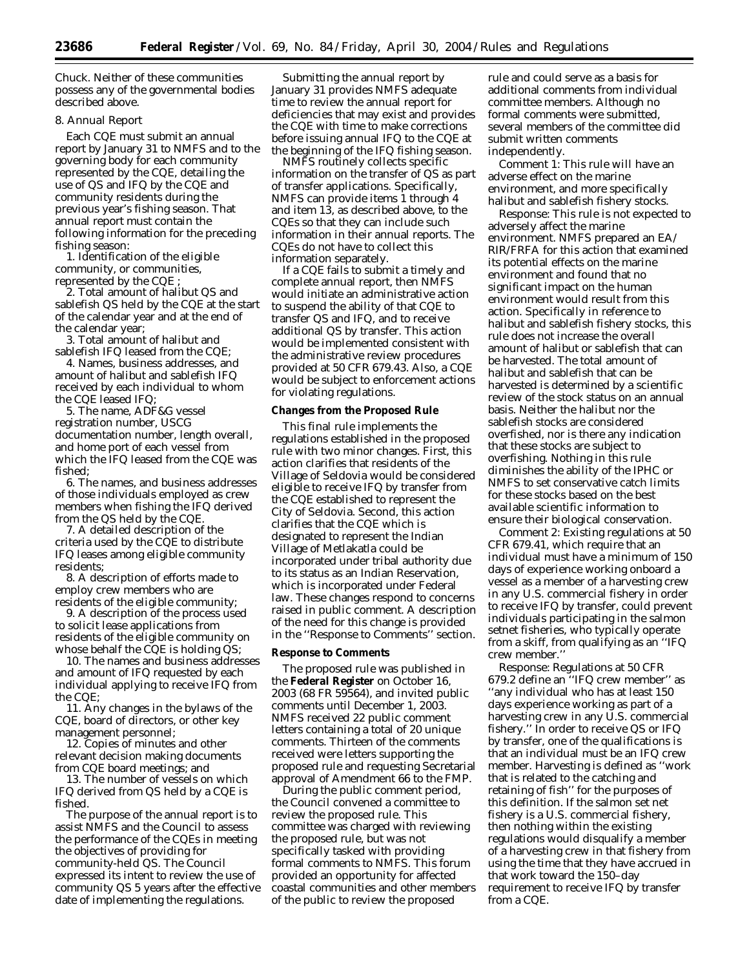Chuck. Neither of these communities possess any of the governmental bodies described above.

# *8. Annual Report*

Each CQE must submit an annual report by January 31 to NMFS and to the governing body for each community represented by the CQE, detailing the use of QS and IFQ by the CQE and community residents during the previous year's fishing season. That annual report must contain the following information for the preceding fishing season:

1. Identification of the eligible community, or communities, represented by the CQE ;

2. Total amount of halibut QS and sablefish QS held by the CQE at the start of the calendar year and at the end of the calendar year;

3. Total amount of halibut and sablefish IFQ leased from the CQE;

4. Names, business addresses, and amount of halibut and sablefish IFQ received by each individual to whom the CQE leased IFQ;

5. The name, ADF&G vessel registration number, USCG documentation number, length overall, and home port of each vessel from which the IFQ leased from the CQE was fished;

6. The names, and business addresses of those individuals employed as crew members when fishing the IFQ derived from the QS held by the CQE.

7. A detailed description of the criteria used by the CQE to distribute IFQ leases among eligible community residents;

8. A description of efforts made to employ crew members who are residents of the eligible community;

9. A description of the process used to solicit lease applications from residents of the eligible community on whose behalf the CQE is holding QS;

10. The names and business addresses and amount of IFQ requested by each individual applying to receive IFQ from the CQE;

11. Any changes in the bylaws of the CQE, board of directors, or other key management personnel;

12. Copies of minutes and other relevant decision making documents from CQE board meetings; and

13. The number of vessels on which IFQ derived from QS held by a CQE is fished.

The purpose of the annual report is to assist NMFS and the Council to assess the performance of the CQEs in meeting the objectives of providing for community-held QS. The Council expressed its intent to review the use of community QS 5 years after the effective date of implementing the regulations.

Submitting the annual report by January 31 provides NMFS adequate time to review the annual report for deficiencies that may exist and provides the CQE with time to make corrections before issuing annual IFQ to the CQE at the beginning of the IFQ fishing season.

NMFS routinely collects specific information on the transfer of QS as part of transfer applications. Specifically, NMFS can provide items 1 through 4 and item 13, as described above, to the CQEs so that they can include such information in their annual reports. The CQEs do not have to collect this information separately.

If a CQE fails to submit a timely and complete annual report, then NMFS would initiate an administrative action to suspend the ability of that CQE to transfer QS and IFQ, and to receive additional QS by transfer. This action would be implemented consistent with the administrative review procedures provided at 50 CFR 679.43. Also, a CQE would be subject to enforcement actions for violating regulations.

### **Changes from the Proposed Rule**

This final rule implements the regulations established in the proposed rule with two minor changes. First, this action clarifies that residents of the Village of Seldovia would be considered eligible to receive IFQ by transfer from the CQE established to represent the City of Seldovia. Second, this action clarifies that the CQE which is designated to represent the Indian Village of Metlakatla could be incorporated under tribal authority due to its status as an Indian Reservation, which is incorporated under Federal law. These changes respond to concerns raised in public comment. A description of the need for this change is provided in the ''Response to Comments'' section.

### **Response to Comments**

The proposed rule was published in the **Federal Register** on October 16, 2003 (68 FR 59564), and invited public comments until December 1, 2003. NMFS received 22 public comment letters containing a total of 20 unique comments. Thirteen of the comments received were letters supporting the proposed rule and requesting Secretarial approval of Amendment 66 to the FMP.

During the public comment period, the Council convened a committee to review the proposed rule. This committee was charged with reviewing the proposed rule, but was not specifically tasked with providing formal comments to NMFS. This forum provided an opportunity for affected coastal communities and other members of the public to review the proposed

rule and could serve as a basis for additional comments from individual committee members. Although no formal comments were submitted, several members of the committee did submit written comments independently.

*Comment 1:* This rule will have an adverse effect on the marine environment, and more specifically halibut and sablefish fishery stocks.

*Response:* This rule is not expected to adversely affect the marine environment. NMFS prepared an EA/ RIR/FRFA for this action that examined its potential effects on the marine environment and found that no significant impact on the human environment would result from this action. Specifically in reference to halibut and sablefish fishery stocks, this rule does not increase the overall amount of halibut or sablefish that can be harvested. The total amount of halibut and sablefish that can be harvested is determined by a scientific review of the stock status on an annual basis. Neither the halibut nor the sablefish stocks are considered overfished, nor is there any indication that these stocks are subject to overfishing. Nothing in this rule diminishes the ability of the IPHC or NMFS to set conservative catch limits for these stocks based on the best available scientific information to ensure their biological conservation.

*Comment 2:* Existing regulations at 50 CFR 679.41, which require that an individual must have a minimum of 150 days of experience working onboard a vessel as a member of a harvesting crew in any U.S. commercial fishery in order to receive IFQ by transfer, could prevent individuals participating in the salmon setnet fisheries, who typically operate from a skiff, from qualifying as an ''IFQ crew member.''

*Response:* Regulations at 50 CFR 679.2 define an ''IFQ crew member'' as ''any individual who has at least 150 days experience working as part of a harvesting crew in any U.S. commercial fishery.'' In order to receive QS or IFQ by transfer, one of the qualifications is that an individual must be an IFQ crew member. Harvesting is defined as ''work that is related to the catching and retaining of fish'' for the purposes of this definition. If the salmon set net fishery is a U.S. commercial fishery, then nothing within the existing regulations would disqualify a member of a harvesting crew in that fishery from using the time that they have accrued in that work toward the 150–day requirement to receive IFQ by transfer from a CQE.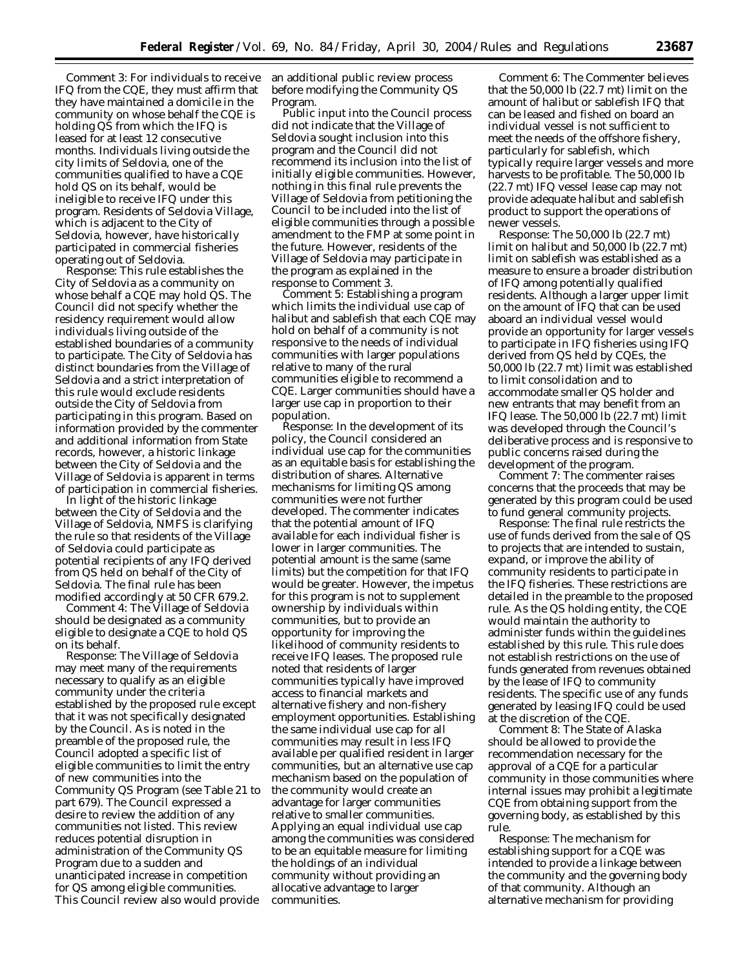*Comment 3:* For individuals to receive IFQ from the CQE, they must affirm that they have maintained a domicile in the community on whose behalf the CQE is holding QS from which the IFQ is leased for at least 12 consecutive months. Individuals living outside the city limits of Seldovia, one of the communities qualified to have a CQE hold QS on its behalf, would be ineligible to receive IFQ under this program. Residents of Seldovia Village, which is adjacent to the City of Seldovia, however, have historically participated in commercial fisheries operating out of Seldovia.

*Response:* This rule establishes the City of Seldovia as a community on whose behalf a CQE may hold QS. The Council did not specify whether the residency requirement would allow individuals living outside of the established boundaries of a community to participate. The City of Seldovia has distinct boundaries from the Village of Seldovia and a strict interpretation of this rule would exclude residents outside the City of Seldovia from participating in this program. Based on information provided by the commenter and additional information from State records, however, a historic linkage between the City of Seldovia and the Village of Seldovia is apparent in terms of participation in commercial fisheries.

In light of the historic linkage between the City of Seldovia and the Village of Seldovia, NMFS is clarifying the rule so that residents of the Village of Seldovia could participate as potential recipients of any IFQ derived from QS held on behalf of the City of Seldovia. The final rule has been modified accordingly at 50 CFR 679.2.

*Comment 4:* The Village of Seldovia should be designated as a community eligible to designate a CQE to hold QS on its behalf.

*Response:* The Village of Seldovia may meet many of the requirements necessary to qualify as an eligible community under the criteria established by the proposed rule except that it was not specifically designated by the Council. As is noted in the preamble of the proposed rule, the Council adopted a specific list of eligible communities to limit the entry of new communities into the Community QS Program (see Table 21 to part 679). The Council expressed a desire to review the addition of any communities not listed. This review reduces potential disruption in administration of the Community QS Program due to a sudden and unanticipated increase in competition for QS among eligible communities. This Council review also would provide

an additional public review process before modifying the Community QS Program.

Public input into the Council process did not indicate that the Village of Seldovia sought inclusion into this program and the Council did not recommend its inclusion into the list of initially eligible communities. However, nothing in this final rule prevents the Village of Seldovia from petitioning the Council to be included into the list of eligible communities through a possible amendment to the FMP at some point in the future. However, residents of the Village of Seldovia may participate in the program as explained in the response to Comment 3.

*Comment 5:* Establishing a program which limits the individual use cap of halibut and sablefish that each CQE may hold on behalf of a community is not responsive to the needs of individual communities with larger populations relative to many of the rural communities eligible to recommend a CQE. Larger communities should have a larger use cap in proportion to their population.

*Response:* In the development of its policy, the Council considered an individual use cap for the communities as an equitable basis for establishing the distribution of shares. Alternative mechanisms for limiting QS among communities were not further developed. The commenter indicates that the potential amount of IFQ available for each individual fisher is lower in larger communities. The potential amount is the same (same limits) but the competition for that IFQ would be greater. However, the impetus for this program is not to supplement ownership by individuals within communities, but to provide an opportunity for improving the likelihood of community residents to receive IFQ leases. The proposed rule noted that residents of larger communities typically have improved access to financial markets and alternative fishery and non-fishery employment opportunities. Establishing the same individual use cap for all communities may result in less IFQ available per qualified resident in larger communities, but an alternative use cap mechanism based on the population of the community would create an advantage for larger communities relative to smaller communities. Applying an equal individual use cap among the communities was considered to be an equitable measure for limiting the holdings of an individual community without providing an allocative advantage to larger communities.

*Comment 6:* The Commenter believes that the 50,000 lb (22.7 mt) limit on the amount of halibut or sablefish IFQ that can be leased and fished on board an individual vessel is not sufficient to meet the needs of the offshore fishery, particularly for sablefish, which typically require larger vessels and more harvests to be profitable. The 50,000 lb (22.7 mt) IFQ vessel lease cap may not provide adequate halibut and sablefish product to support the operations of newer vessels.

*Response:* The 50,000 lb (22.7 mt) limit on halibut and 50,000 lb (22.7 mt) limit on sablefish was established as a measure to ensure a broader distribution of IFQ among potentially qualified residents. Although a larger upper limit on the amount of IFQ that can be used aboard an individual vessel would provide an opportunity for larger vessels to participate in IFQ fisheries using IFQ derived from QS held by CQEs, the 50,000 lb (22.7 mt) limit was established to limit consolidation and to accommodate smaller QS holder and new entrants that may benefit from an IFQ lease. The 50,000 lb (22.7 mt) limit was developed through the Council's deliberative process and is responsive to public concerns raised during the development of the program.

*Comment 7:* The commenter raises concerns that the proceeds that may be generated by this program could be used to fund general community projects.

*Response:* The final rule restricts the use of funds derived from the sale of QS to projects that are intended to sustain, expand, or improve the ability of community residents to participate in the IFQ fisheries. These restrictions are detailed in the preamble to the proposed rule. As the QS holding entity, the CQE would maintain the authority to administer funds within the guidelines established by this rule. This rule does not establish restrictions on the use of funds generated from revenues obtained by the lease of IFQ to community residents. The specific use of any funds generated by leasing IFQ could be used at the discretion of the CQE.

*Comment 8:* The State of Alaska should be allowed to provide the recommendation necessary for the approval of a CQE for a particular community in those communities where internal issues may prohibit a legitimate CQE from obtaining support from the governing body, as established by this rule.

*Response:* The mechanism for establishing support for a CQE was intended to provide a linkage between the community and the governing body of that community. Although an alternative mechanism for providing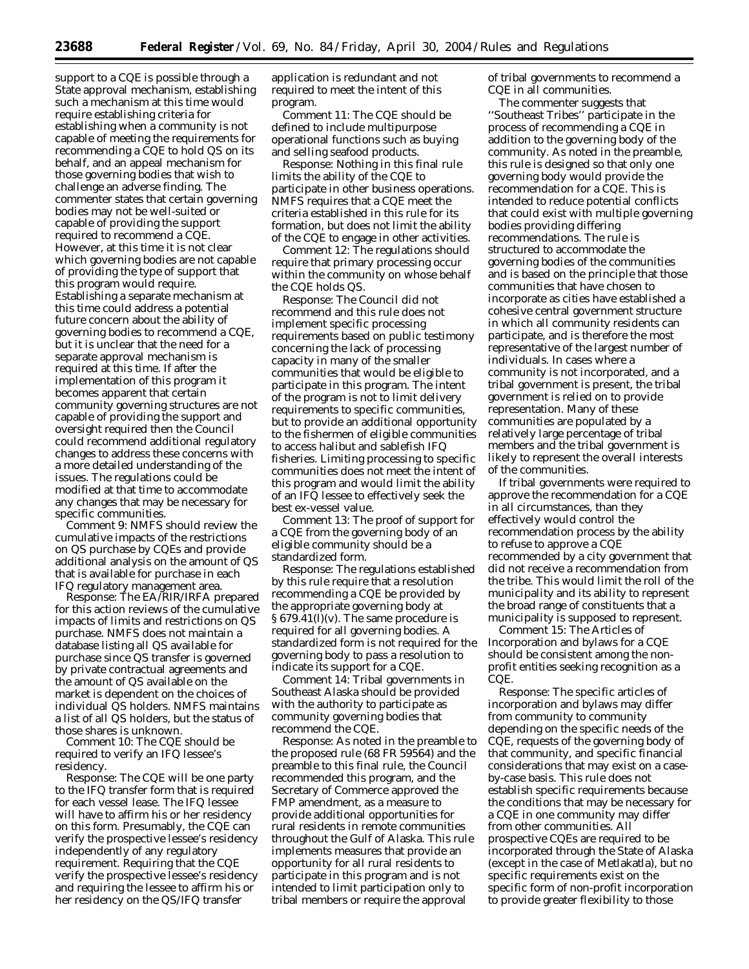support to a CQE is possible through a State approval mechanism, establishing such a mechanism at this time would require establishing criteria for establishing when a community is not capable of meeting the requirements for recommending a CQE to hold QS on its behalf, and an appeal mechanism for those governing bodies that wish to challenge an adverse finding. The commenter states that certain governing bodies may not be well-suited or capable of providing the support required to recommend a CQE. However, at this time it is not clear which governing bodies are not capable of providing the type of support that this program would require. Establishing a separate mechanism at this time could address a potential future concern about the ability of governing bodies to recommend a CQE, but it is unclear that the need for a separate approval mechanism is required at this time. If after the implementation of this program it becomes apparent that certain community governing structures are not capable of providing the support and oversight required then the Council could recommend additional regulatory changes to address these concerns with a more detailed understanding of the issues. The regulations could be modified at that time to accommodate any changes that may be necessary for specific communities.

*Comment 9:* NMFS should review the cumulative impacts of the restrictions on QS purchase by CQEs and provide additional analysis on the amount of QS that is available for purchase in each IFQ regulatory management area.

*Response:* The EA/RIR/IRFA prepared for this action reviews of the cumulative impacts of limits and restrictions on QS purchase. NMFS does not maintain a database listing all QS available for purchase since QS transfer is governed by private contractual agreements and the amount of QS available on the market is dependent on the choices of individual QS holders. NMFS maintains a list of all QS holders, but the status of those shares is unknown.

*Comment 10:* The CQE should be required to verify an IFQ lessee's residency.

*Response:* The CQE will be one party to the IFQ transfer form that is required for each vessel lease. The IFQ lessee will have to affirm his or her residency on this form. Presumably, the CQE can verify the prospective lessee's residency independently of any regulatory requirement. Requiring that the CQE verify the prospective lessee's residency and requiring the lessee to affirm his or her residency on the QS/IFQ transfer

application is redundant and not required to meet the intent of this program.

*Comment 11:* The CQE should be defined to include multipurpose operational functions such as buying and selling seafood products.

*Response:* Nothing in this final rule limits the ability of the CQE to participate in other business operations. NMFS requires that a CQE meet the criteria established in this rule for its formation, but does not limit the ability of the CQE to engage in other activities.

*Comment 12:* The regulations should require that primary processing occur within the community on whose behalf the CQE holds QS.

*Response:* The Council did not recommend and this rule does not implement specific processing requirements based on public testimony concerning the lack of processing capacity in many of the smaller communities that would be eligible to participate in this program. The intent of the program is not to limit delivery requirements to specific communities, but to provide an additional opportunity to the fishermen of eligible communities to access halibut and sablefish IFQ fisheries. Limiting processing to specific communities does not meet the intent of this program and would limit the ability of an IFQ lessee to effectively seek the best ex-vessel value.

*Comment 13:* The proof of support for a CQE from the governing body of an eligible community should be a standardized form.

*Response:* The regulations established by this rule require that a resolution recommending a CQE be provided by the appropriate governing body at § 679.41(l)(v). The same procedure is required for all governing bodies. A standardized form is not required for the governing body to pass a resolution to indicate its support for a CQE.

*Comment 14:* Tribal governments in Southeast Alaska should be provided with the authority to participate as community governing bodies that recommend the CQE.

*Response:* As noted in the preamble to the proposed rule (68 FR 59564) and the preamble to this final rule, the Council recommended this program, and the Secretary of Commerce approved the FMP amendment, as a measure to provide additional opportunities for rural residents in remote communities throughout the Gulf of Alaska. This rule implements measures that provide an opportunity for all rural residents to participate in this program and is not intended to limit participation only to tribal members or require the approval

of tribal governments to recommend a CQE in all communities.

The commenter suggests that ''Southeast Tribes'' participate in the process of recommending a CQE in addition to the governing body of the community. As noted in the preamble, this rule is designed so that only one governing body would provide the recommendation for a CQE. This is intended to reduce potential conflicts that could exist with multiple governing bodies providing differing recommendations. The rule is structured to accommodate the governing bodies of the communities and is based on the principle that those communities that have chosen to incorporate as cities have established a cohesive central government structure in which all community residents can participate, and is therefore the most representative of the largest number of individuals. In cases where a community is not incorporated, and a tribal government is present, the tribal government is relied on to provide representation. Many of these communities are populated by a relatively large percentage of tribal members and the tribal government is likely to represent the overall interests of the communities.

If tribal governments were required to approve the recommendation for a CQE in all circumstances, than they effectively would control the recommendation process by the ability to refuse to approve a CQE recommended by a city government that did not receive a recommendation from the tribe. This would limit the roll of the municipality and its ability to represent the broad range of constituents that a municipality is supposed to represent.

*Comment 15:* The Articles of Incorporation and bylaws for a CQE should be consistent among the nonprofit entities seeking recognition as a CQE.

*Response:* The specific articles of incorporation and bylaws may differ from community to community depending on the specific needs of the CQE, requests of the governing body of that community, and specific financial considerations that may exist on a caseby-case basis. This rule does not establish specific requirements because the conditions that may be necessary for a CQE in one community may differ from other communities. All prospective CQEs are required to be incorporated through the State of Alaska (except in the case of Metlakatla), but no specific requirements exist on the specific form of non-profit incorporation to provide greater flexibility to those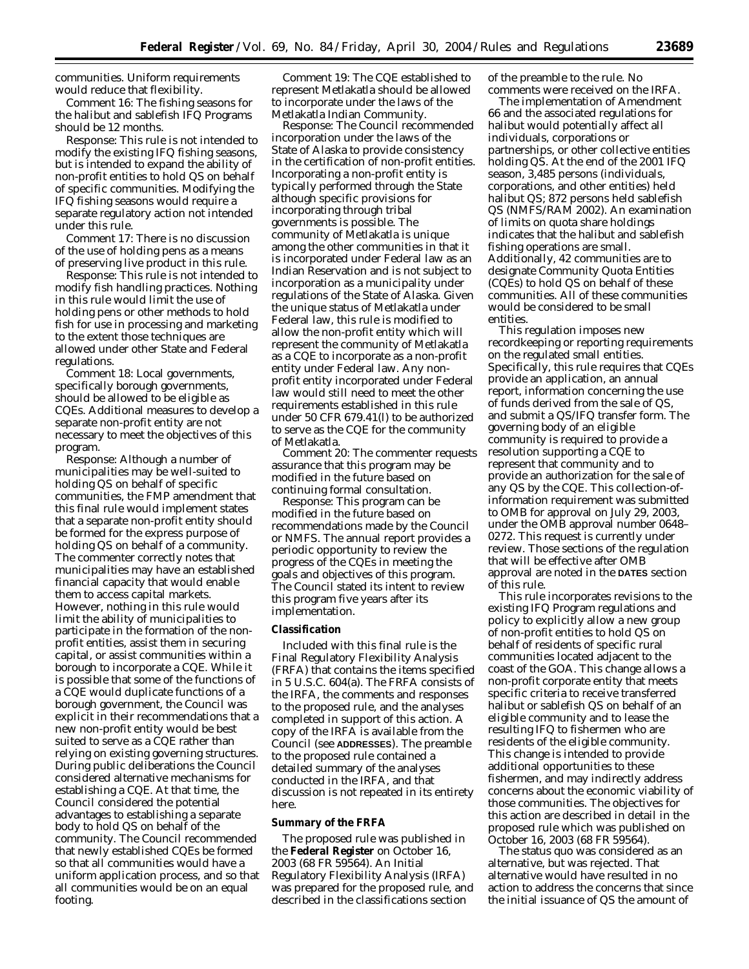communities. Uniform requirements would reduce that flexibility.

*Comment 16:* The fishing seasons for the halibut and sablefish IFQ Programs should be 12 months.

*Response:* This rule is not intended to modify the existing IFQ fishing seasons, but is intended to expand the ability of non-profit entities to hold QS on behalf of specific communities. Modifying the IFQ fishing seasons would require a separate regulatory action not intended under this rule.

*Comment 17:* There is no discussion of the use of holding pens as a means of preserving live product in this rule.

*Response:* This rule is not intended to modify fish handling practices. Nothing in this rule would limit the use of holding pens or other methods to hold fish for use in processing and marketing to the extent those techniques are allowed under other State and Federal regulations.

*Comment 18:* Local governments, specifically borough governments, should be allowed to be eligible as CQEs. Additional measures to develop a separate non-profit entity are not necessary to meet the objectives of this program.

*Response:* Although a number of municipalities may be well-suited to holding QS on behalf of specific communities, the FMP amendment that this final rule would implement states that a separate non-profit entity should be formed for the express purpose of holding QS on behalf of a community. The commenter correctly notes that municipalities may have an established financial capacity that would enable them to access capital markets. However, nothing in this rule would limit the ability of municipalities to participate in the formation of the nonprofit entities, assist them in securing capital, or assist communities within a borough to incorporate a CQE. While it is possible that some of the functions of a CQE would duplicate functions of a borough government, the Council was explicit in their recommendations that a new non-profit entity would be best suited to serve as a CQE rather than relying on existing governing structures. During public deliberations the Council considered alternative mechanisms for establishing a CQE. At that time, the Council considered the potential advantages to establishing a separate body to hold QS on behalf of the community. The Council recommended that newly established CQEs be formed so that all communities would have a uniform application process, and so that all communities would be on an equal footing.

*Comment 19:* The CQE established to represent Metlakatla should be allowed to incorporate under the laws of the Metlakatla Indian Community.

*Response:* The Council recommended incorporation under the laws of the State of Alaska to provide consistency in the certification of non-profit entities. Incorporating a non-profit entity is typically performed through the State although specific provisions for incorporating through tribal governments is possible. The community of Metlakatla is unique among the other communities in that it is incorporated under Federal law as an Indian Reservation and is not subject to incorporation as a municipality under regulations of the State of Alaska. Given the unique status of Metlakatla under Federal law, this rule is modified to allow the non-profit entity which will represent the community of Metlakatla as a CQE to incorporate as a non-profit entity under Federal law. Any nonprofit entity incorporated under Federal law would still need to meet the other requirements established in this rule under 50 CFR 679.41(l) to be authorized to serve as the CQE for the community of Metlakatla.

*Comment 20:* The commenter requests assurance that this program may be modified in the future based on continuing formal consultation.

*Response:* This program can be modified in the future based on recommendations made by the Council or NMFS. The annual report provides a periodic opportunity to review the progress of the CQEs in meeting the goals and objectives of this program. The Council stated its intent to review this program five years after its implementation.

#### **Classification**

Included with this final rule is the Final Regulatory Flexibility Analysis (FRFA) that contains the items specified in 5 U.S.C. 604(a). The FRFA consists of the IRFA, the comments and responses to the proposed rule, and the analyses completed in support of this action. A copy of the IRFA is available from the Council (see **ADDRESSES**). The preamble to the proposed rule contained a detailed summary of the analyses conducted in the IRFA, and that discussion is not repeated in its entirety here.

#### **Summary of the FRFA**

The proposed rule was published in the **Federal Register** on October 16, 2003 (68 FR 59564). An Initial Regulatory Flexibility Analysis (IRFA) was prepared for the proposed rule, and described in the classifications section

of the preamble to the rule. No comments were received on the IRFA.

The implementation of Amendment 66 and the associated regulations for halibut would potentially affect all individuals, corporations or partnerships, or other collective entities holding QS. At the end of the 2001 IFQ season, 3,485 persons (individuals, corporations, and other entities) held halibut QS; 872 persons held sablefish QS (NMFS/RAM 2002). An examination of limits on quota share holdings indicates that the halibut and sablefish fishing operations are small. Additionally, 42 communities are to designate Community Quota Entities (CQEs) to hold QS on behalf of these communities. All of these communities would be considered to be small entities.

This regulation imposes new recordkeeping or reporting requirements on the regulated small entities. Specifically, this rule requires that CQEs provide an application, an annual report, information concerning the use of funds derived from the sale of QS, and submit a QS/IFQ transfer form. The governing body of an eligible community is required to provide a resolution supporting a CQE to represent that community and to provide an authorization for the sale of any QS by the CQE. This collection-ofinformation requirement was submitted to OMB for approval on July 29, 2003, under the OMB approval number 0648– 0272. This request is currently under review. Those sections of the regulation that will be effective after OMB approval are noted in the **DATES** section of this rule.

This rule incorporates revisions to the existing IFQ Program regulations and policy to explicitly allow a new group of non-profit entities to hold QS on behalf of residents of specific rural communities located adjacent to the coast of the GOA. This change allows a non-profit corporate entity that meets specific criteria to receive transferred halibut or sablefish QS on behalf of an eligible community and to lease the resulting IFQ to fishermen who are residents of the eligible community. This change is intended to provide additional opportunities to these fishermen, and may indirectly address concerns about the economic viability of those communities. The objectives for this action are described in detail in the proposed rule which was published on October 16, 2003 (68 FR 59564).

The status quo was considered as an alternative, but was rejected. That alternative would have resulted in no action to address the concerns that since the initial issuance of QS the amount of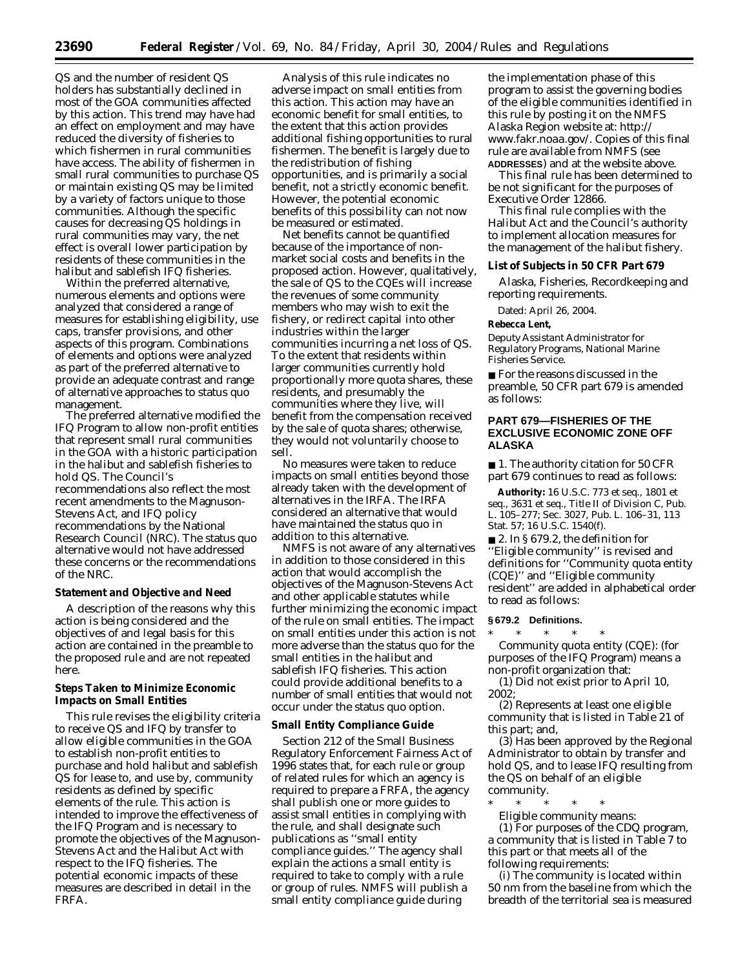QS and the number of resident QS holders has substantially declined in most of the GOA communities affected by this action. This trend may have had an effect on employment and may have reduced the diversity of fisheries to which fishermen in rural communities have access. The ability of fishermen in small rural communities to purchase QS or maintain existing QS may be limited by a variety of factors unique to those communities. Although the specific causes for decreasing QS holdings in rural communities may vary, the net effect is overall lower participation by residents of these communities in the halibut and sablefish IFQ fisheries.

Within the preferred alternative, numerous elements and options were analyzed that considered a range of measures for establishing eligibility, use caps, transfer provisions, and other aspects of this program. Combinations of elements and options were analyzed as part of the preferred alternative to provide an adequate contrast and range of alternative approaches to status quo management.

The preferred alternative modified the IFQ Program to allow non-profit entities that represent small rural communities in the GOA with a historic participation in the halibut and sablefish fisheries to hold QS. The Council's recommendations also reflect the most recent amendments to the Magnuson-Stevens Act, and IFQ policy recommendations by the National Research Council (NRC). The status quo alternative would not have addressed these concerns or the recommendations of the NRC.

### **Statement and Objective and Need**

A description of the reasons why this action is being considered and the objectives of and legal basis for this action are contained in the preamble to the proposed rule and are not repeated here.

## **Steps Taken to Minimize Economic Impacts on Small Entities**

This rule revises the eligibility criteria to receive QS and IFQ by transfer to allow eligible communities in the GOA to establish non-profit entities to purchase and hold halibut and sablefish QS for lease to, and use by, community residents as defined by specific elements of the rule. This action is intended to improve the effectiveness of the IFQ Program and is necessary to promote the objectives of the Magnuson-Stevens Act and the Halibut Act with respect to the IFQ fisheries. The potential economic impacts of these measures are described in detail in the FRFA.

Analysis of this rule indicates no adverse impact on small entities from this action. This action may have an economic benefit for small entities, to the extent that this action provides additional fishing opportunities to rural fishermen. The benefit is largely due to the redistribution of fishing opportunities, and is primarily a social benefit, not a strictly economic benefit. However, the potential economic benefits of this possibility can not now be measured or estimated.

Net benefits cannot be quantified because of the importance of nonmarket social costs and benefits in the proposed action. However, qualitatively, the sale of QS to the CQEs will increase the revenues of some community members who may wish to exit the fishery, or redirect capital into other industries within the larger communities incurring a net loss of QS. To the extent that residents within larger communities currently hold proportionally more quota shares, these residents, and presumably the communities where they live, will benefit from the compensation received by the sale of quota shares; otherwise, they would not voluntarily choose to sell.

No measures were taken to reduce impacts on small entities beyond those already taken with the development of alternatives in the IRFA. The IRFA considered an alternative that would have maintained the status quo in addition to this alternative.

NMFS is not aware of any alternatives in addition to those considered in this action that would accomplish the objectives of the Magnuson-Stevens Act and other applicable statutes while further minimizing the economic impact of the rule on small entities. The impact on small entities under this action is not more adverse than the status quo for the small entities in the halibut and sablefish IFQ fisheries. This action could provide additional benefits to a number of small entities that would not occur under the status quo option.

#### **Small Entity Compliance Guide**

Section 212 of the Small Business Regulatory Enforcement Fairness Act of 1996 states that, for each rule or group of related rules for which an agency is required to prepare a FRFA, the agency shall publish one or more guides to assist small entities in complying with the rule, and shall designate such publications as ''small entity compliance guides.'' The agency shall explain the actions a small entity is required to take to comply with a rule or group of rules. NMFS will publish a small entity compliance guide during

the implementation phase of this program to assist the governing bodies of the eligible communities identified in this rule by posting it on the NMFS [Alaska Region website at:](http://www.fakr.noaa.gov/) *http:// www.fakr.noaa.gov/*. Copies of this final rule are available from NMFS (see **ADDRESSES**) and at the website above.

This final rule has been determined to be not significant for the purposes of Executive Order 12866.

This final rule complies with the Halibut Act and the Council's authority to implement allocation measures for the management of the halibut fishery.

#### **List of Subjects in 50 CFR Part 679**

Alaska, Fisheries, Recordkeeping and reporting requirements.

Dated: April 26, 2004.

#### **Rebecca Lent,**

*Deputy Assistant Administrator for Regulatory Programs, National Marine Fisheries Service.*

■ For the reasons discussed in the preamble, 50 CFR part 679 is amended as follows:

# **PART 679—FISHERIES OF THE EXCLUSIVE ECONOMIC ZONE OFF ALASKA**

■ 1. The authority citation for 50 CFR part 679 continues to read as follows:

**Authority:** 16 U.S.C. 773 *et seq.*, 1801 *et seq.*, 3631 *et seq.*, Title II of Division C, Pub. L. 105–277; Sec. 3027, Pub. L. 106–31, 113 Stat. 57; 16 U.S.C. 1540(f).

■ 2. In § 679.2, the definition for ''Eligible community'' is revised and definitions for ''Community quota entity (CQE)'' and ''Eligible community resident'' are added in alphabetical order to read as follows:

#### **§ 679.2 Definitions.**

\* \* \* \* \* *Community quota entity (CQE):* (for purposes of the IFQ Program) means a non-profit organization that:

(1) Did not exist prior to April 10, 2002;

(2) Represents at least one eligible community that is listed in Table 21 of this part; and,

(3) Has been approved by the Regional Administrator to obtain by transfer and hold QS, and to lease IFQ resulting from the QS on behalf of an eligible community.

\* \* \* \* \*

*Eligible community means:* (1) For purposes of the CDQ program, a community that is listed in Table 7 to this part or that meets all of the following requirements:

(i) The community is located within 50 nm from the baseline from which the breadth of the territorial sea is measured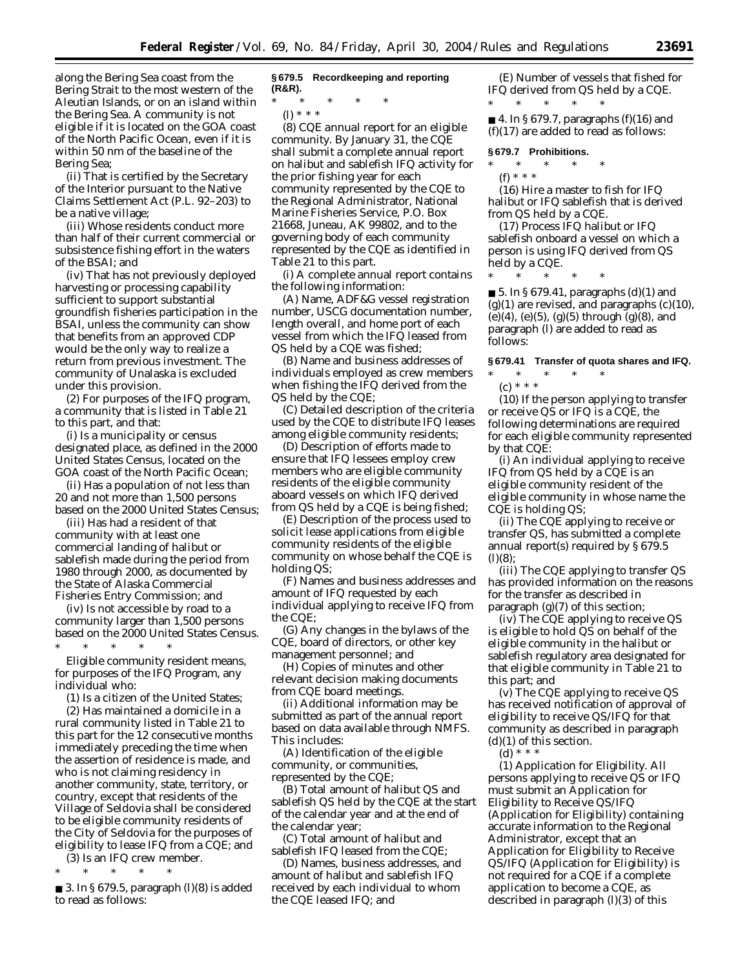along the Bering Sea coast from the Bering Strait to the most western of the Aleutian Islands, or on an island within the Bering Sea. A community is not eligible if it is located on the GOA coast of the North Pacific Ocean, even if it is within 50 nm of the baseline of the Bering Sea;

(ii) That is certified by the Secretary of the Interior pursuant to the Native Claims Settlement Act (P.L. 92–203) to be a native village;

(iii) Whose residents conduct more than half of their current commercial or subsistence fishing effort in the waters of the BSAI; and

(iv) That has not previously deployed harvesting or processing capability sufficient to support substantial groundfish fisheries participation in the BSAI, unless the community can show that benefits from an approved CDP would be the only way to realize a return from previous investment. The community of Unalaska is excluded under this provision.

(2) For purposes of the IFQ program, a community that is listed in Table 21 to this part, and that:

(i) Is a municipality or census designated place, as defined in the 2000 United States Census, located on the GOA coast of the North Pacific Ocean;

(ii) Has a population of not less than 20 and not more than 1,500 persons based on the 2000 United States Census;

(iii) Has had a resident of that community with at least one commercial landing of halibut or sablefish made during the period from 1980 through 2000, as documented by the State of Alaska Commercial Fisheries Entry Commission; and

(iv) Is not accessible by road to a community larger than 1,500 persons based on the 2000 United States Census. \* \* \* \* \*

*Eligible community resident* means, for purposes of the IFQ Program, any individual who:

(1) Is a citizen of the United States;

(2) Has maintained a domicile in a rural community listed in Table 21 to this part for the 12 consecutive months immediately preceding the time when the assertion of residence is made, and who is not claiming residency in another community, state, territory, or country, except that residents of the Village of Seldovia shall be considered to be eligible community residents of the City of Seldovia for the purposes of eligibility to lease IFQ from a CQE; and

(3) Is an IFQ crew member. \* \* \* \* \*

■ 3. In § 679.5, paragraph (l)(8) is added to read as follows:

#### **§ 679.5 Recordkeeping and reporting (R&R).**

\* \* \* \* \*

(l) \* \* \*

(8) *CQE annual report for an eligible community.* By January 31, the CQE shall submit a complete annual report on halibut and sablefish IFQ activity for the prior fishing year for each community represented by the CQE to the Regional Administrator, National Marine Fisheries Service, P.O. Box 21668, Juneau, AK 99802, and to the governing body of each community represented by the CQE as identified in Table 21 to this part.

(i) A complete annual report contains the following information:

(A) Name, ADF&G vessel registration number, USCG documentation number, length overall, and home port of each vessel from which the IFQ leased from QS held by a CQE was fished;

(B) Name and business addresses of individuals employed as crew members when fishing the IFQ derived from the QS held by the CQE;

(C) Detailed description of the criteria used by the CQE to distribute IFQ leases among eligible community residents;

(D) Description of efforts made to ensure that IFQ lessees employ crew members who are eligible community residents of the eligible community aboard vessels on which IFQ derived from QS held by a CQE is being fished;

(E) Description of the process used to solicit lease applications from eligible community residents of the eligible community on whose behalf the CQE is holding QS;

(F) Names and business addresses and amount of IFQ requested by each individual applying to receive IFQ from the CQE;

(G) Any changes in the bylaws of the CQE, board of directors, or other key management personnel; and

(H) Copies of minutes and other relevant decision making documents from CQE board meetings.

(ii) Additional information may be submitted as part of the annual report based on data available through NMFS. This includes:

(A) Identification of the eligible community, or communities, represented by the CQE;

(B) Total amount of halibut QS and sablefish QS held by the CQE at the start of the calendar year and at the end of the calendar year;

(C) Total amount of halibut and sablefish IFQ leased from the CQE;

(D) Names, business addresses, and amount of halibut and sablefish IFQ received by each individual to whom the CQE leased IFQ; and

(E) Number of vessels that fished for IFQ derived from QS held by a CQE. \* \* \* \* \*

 $\blacksquare$  4. In § 679.7, paragraphs (f)(16) and  $(f)(17)$  are added to read as follows:

#### **§ 679.7 Prohibitions.**

\* \* \* \* \*

(f) \* \* \* (16) Hire a master to fish for IFQ halibut or IFQ sablefish that is derived

from QS held by a CQE. (17) Process IFQ halibut or IFQ sablefish onboard a vessel on which a person is using IFQ derived from QS held by a CQE.

\* \* \* \* \*

■ 5. In § 679.41, paragraphs (d)(1) and  $(g)(1)$  are revised, and paragraphs  $(c)(10)$ , (e)(4), (e)(5), (g)(5) through (g)(8), and paragraph (l) are added to read as follows:

### **§ 679.41 Transfer of quota shares and IFQ.**

\* \* \* \* \*

(c) \* \* \*

(10) If the person applying to transfer or receive QS or IFQ is a CQE, the following determinations are required for each eligible community represented by that CQE:

(i) An individual applying to receive IFQ from QS held by a CQE is an eligible community resident of the eligible community in whose name the CQE is holding QS;

(ii) The CQE applying to receive or transfer QS, has submitted a complete annual report(s) required by § 679.5  $(l)(8)$ :

(iii) The CQE applying to transfer QS has provided information on the reasons for the transfer as described in paragraph  $(g)(7)$  of this section;

(iv) The CQE applying to receive QS is eligible to hold QS on behalf of the eligible community in the halibut or sablefish regulatory area designated for that eligible community in Table 21 to this part; and

(v) The CQE applying to receive QS has received notification of approval of eligibility to receive QS/IFQ for that community as described in paragraph  $(d)(1)$  of this section.

(d) \* \* \*

(1) *Application for Eligibility.* All persons applying to receive QS or IFQ must submit an Application for Eligibility to Receive QS/IFQ (Application for Eligibility) containing accurate information to the Regional Administrator, except that an Application for Eligibility to Receive QS/IFQ (Application for Eligibility) is not required for a CQE if a complete application to become a CQE, as described in paragraph (l)(3) of this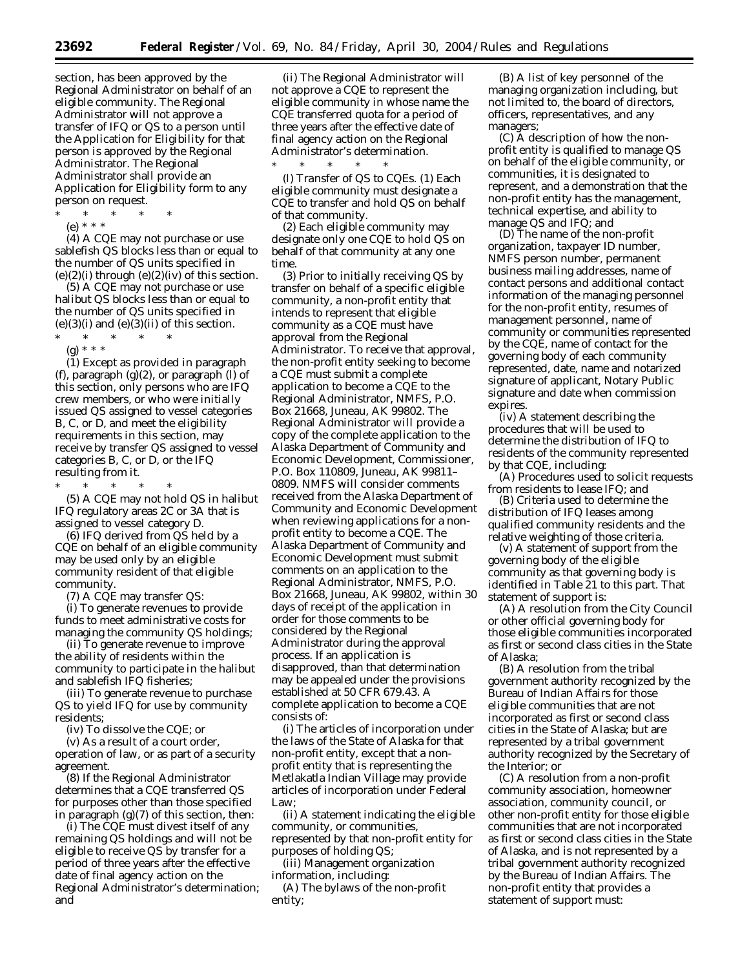section, has been approved by the Regional Administrator on behalf of an eligible community. The Regional Administrator will not approve a transfer of IFQ or QS to a person until the Application for Eligibility for that person is approved by the Regional Administrator. The Regional Administrator shall provide an Application for Eligibility form to any person on request.

- \* \* \* \* \*
- (e) \* \* \*

(4) A CQE may not purchase or use sablefish QS blocks less than or equal to the number of QS units specified in  $(e)(2)(i)$  through  $(e)(2)(iv)$  of this section.

(5) A CQE may not purchase or use halibut QS blocks less than or equal to the number of QS units specified in  $(e)(3)(i)$  and  $(e)(3)(ii)$  of this section.

\* \* \* \* \* (g) \* \* \*

(1) Except as provided in paragraph (f), paragraph (g)(2), or paragraph (l) of this section, only persons who are IFQ crew members, or who were initially issued QS assigned to vessel categories B, C, or D, and meet the eligibility requirements in this section, may receive by transfer QS assigned to vessel categories B, C, or D, or the IFQ resulting from it.

\* \* \* \* \* (5) A CQE may not hold QS in halibut IFQ regulatory areas 2C or 3A that is assigned to vessel category D.

(6) IFQ derived from QS held by a CQE on behalf of an eligible community may be used only by an eligible community resident of that eligible community.

(7) A CQE may transfer QS:

(i) To generate revenues to provide funds to meet administrative costs for managing the community QS holdings;

(ii) To generate revenue to improve the ability of residents within the community to participate in the halibut and sablefish IFQ fisheries;

(iii) To generate revenue to purchase QS to yield IFQ for use by community residents;

(iv) To dissolve the CQE; or

(v) As a result of a court order, operation of law, or as part of a security agreement.

(8) If the Regional Administrator determines that a CQE transferred QS for purposes other than those specified in paragraph (g)(7) of this section, then:

(i) The CQE must divest itself of any remaining QS holdings and will not be eligible to receive QS by transfer for a period of three years after the effective date of final agency action on the Regional Administrator's determination; and

(ii) The Regional Administrator will not approve a CQE to represent the eligible community in whose name the CQE transferred quota for a period of three years after the effective date of final agency action on the Regional Administrator's determination.

\* \* \* \* \* (l) *Transfer of QS to CQEs.* (1) Each eligible community must designate a CQE to transfer and hold QS on behalf of that community.

(2) Each eligible community may designate only one CQE to hold QS on behalf of that community at any one time.

(3) Prior to initially receiving QS by transfer on behalf of a specific eligible community, a non-profit entity that intends to represent that eligible community as a CQE must have approval from the Regional Administrator. To receive that approval, the non-profit entity seeking to become a CQE must submit a complete application to become a CQE to the Regional Administrator, NMFS, P.O. Box 21668, Juneau, AK 99802. The Regional Administrator will provide a copy of the complete application to the Alaska Department of Community and Economic Development, Commissioner, P.O. Box 110809, Juneau, AK 99811– 0809. NMFS will consider comments received from the Alaska Department of Community and Economic Development when reviewing applications for a nonprofit entity to become a CQE. The Alaska Department of Community and Economic Development must submit comments on an application to the Regional Administrator, NMFS, P.O. Box 21668, Juneau, AK 99802, within 30 days of receipt of the application in order for those comments to be considered by the Regional Administrator during the approval process. If an application is disapproved, than that determination may be appealed under the provisions established at 50 CFR 679.43. A complete application to become a CQE consists of:

(i) The articles of incorporation under the laws of the State of Alaska for that non-profit entity, except that a nonprofit entity that is representing the Metlakatla Indian Village may provide articles of incorporation under Federal Law;

(ii) A statement indicating the eligible community, or communities, represented by that non-profit entity for purposes of holding QS;

(iii) Management organization information, including:

(A) The bylaws of the non-profit entity;

(B) A list of key personnel of the managing organization including, but not limited to, the board of directors, officers, representatives, and any managers;

(C) A description of how the nonprofit entity is qualified to manage QS on behalf of the eligible community, or communities, it is designated to represent, and a demonstration that the non-profit entity has the management, technical expertise, and ability to manage QS and IFQ; and

(D) The name of the non-profit organization, taxpayer ID number, NMFS person number, permanent business mailing addresses, name of contact persons and additional contact information of the managing personnel for the non-profit entity, resumes of management personnel, name of community or communities represented by the CQE, name of contact for the governing body of each community represented, date, name and notarized signature of applicant, Notary Public signature and date when commission expires.

(iv) A statement describing the procedures that will be used to determine the distribution of IFQ to residents of the community represented by that CQE, including:

(A) Procedures used to solicit requests from residents to lease IFQ; and

(B) Criteria used to determine the distribution of IFQ leases among qualified community residents and the relative weighting of those criteria.

(v) A statement of support from the governing body of the eligible community as that governing body is identified in Table 21 to this part. That statement of support is:

(A) A resolution from the City Council or other official governing body for those eligible communities incorporated as first or second class cities in the State of Alaska;

(B) A resolution from the tribal government authority recognized by the Bureau of Indian Affairs for those eligible communities that are not incorporated as first or second class cities in the State of Alaska; but are represented by a tribal government authority recognized by the Secretary of the Interior; or

(C) A resolution from a non-profit community association, homeowner association, community council, or other non-profit entity for those eligible communities that are not incorporated as first or second class cities in the State of Alaska, and is not represented by a tribal government authority recognized by the Bureau of Indian Affairs. The non-profit entity that provides a statement of support must: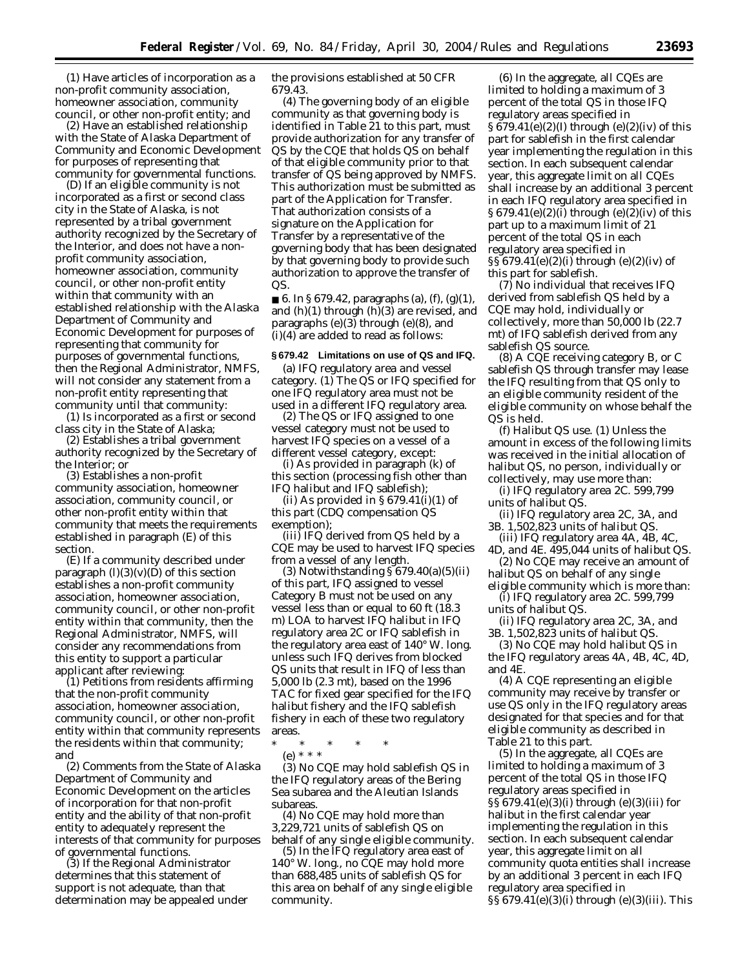(*1*) Have articles of incorporation as a non-profit community association, homeowner association, community council, or other non-profit entity; and

(*2*) Have an established relationship with the State of Alaska Department of Community and Economic Development for purposes of representing that community for governmental functions.

(D) If an eligible community is not incorporated as a first or second class city in the State of Alaska, is not represented by a tribal government authority recognized by the Secretary of the Interior, and does not have a nonprofit community association, homeowner association, community council, or other non-profit entity within that community with an established relationship with the Alaska Department of Community and Economic Development for purposes of representing that community for purposes of governmental functions, then the Regional Administrator, NMFS, will not consider any statement from a non-profit entity representing that community until that community:

(*1*) Is incorporated as a first or second class city in the State of Alaska;

(*2*) Establishes a tribal government authority recognized by the Secretary of the Interior; or

(*3*) Establishes a non-profit community association, homeowner association, community council, or other non-profit entity within that community that meets the requirements established in paragraph (E) of this section.

(E) If a community described under paragraph  $(l)(3)(v)(D)$  of this section establishes a non-profit community association, homeowner association, community council, or other non-profit entity within that community, then the Regional Administrator, NMFS, will consider any recommendations from this entity to support a particular applicant after reviewing:

(*1*) Petitions from residents affirming that the non-profit community association, homeowner association, community council, or other non-profit entity within that community represents the residents within that community; and

(*2*) Comments from the State of Alaska Department of Community and Economic Development on the articles of incorporation for that non-profit entity and the ability of that non-profit entity to adequately represent the interests of that community for purposes of governmental functions.

(*3*) If the Regional Administrator determines that this statement of support is not adequate, than that determination may be appealed under the provisions established at 50 CFR 679.43.

(4) The governing body of an eligible community as that governing body is identified in Table 21 to this part, must provide authorization for any transfer of QS by the CQE that holds QS on behalf of that eligible community prior to that transfer of QS being approved by NMFS. This authorization must be submitted as part of the Application for Transfer. That authorization consists of a signature on the Application for Transfer by a representative of the governing body that has been designated by that governing body to provide such authorization to approve the transfer of QS.

■ 6. In § 679.42, paragraphs (a), (f), (g)(1), and  $(h)(1)$  through  $(h)(3)$  are revised, and paragraphs (e)(3) through (e)(8), and (i)(4) are added to read as follows:

## **§ 679.42 Limitations on use of QS and IFQ.**

(a) *IFQ regulatory area and vessel category.* (1) The QS or IFQ specified for one IFQ regulatory area must not be used in a different IFQ regulatory area.

(2) The QS or IFQ assigned to one vessel category must not be used to harvest IFQ species on a vessel of a different vessel category, except:

(i) As provided in paragraph (k) of this section (processing fish other than IFQ halibut and IFQ sablefish);

(ii) As provided in  $\S 679.41(i)(1)$  of this part (CDQ compensation QS exemption);

(iii) IFQ derived from QS held by a CQE may be used to harvest IFQ species from a vessel of any length.

(3) Notwithstanding  $\S 679.40(a)(5)(ii)$ of this part, IFQ assigned to vessel Category B must not be used on any vessel less than or equal to 60 ft (18.3 m) LOA to harvest IFQ halibut in IFQ regulatory area 2C or IFQ sablefish in the regulatory area east of 140° W. long. unless such IFQ derives from blocked QS units that result in IFQ of less than 5,000 lb (2.3 mt), based on the 1996 TAC for fixed gear specified for the IFQ halibut fishery and the IFQ sablefish fishery in each of these two regulatory areas.

\* \* \* \* \*

(e) \* \* \*

(3) No CQE may hold sablefish QS in the IFQ regulatory areas of the Bering Sea subarea and the Aleutian Islands subareas.

(4) No CQE may hold more than 3,229,721 units of sablefish QS on behalf of any single eligible community.

(5) In the IFQ regulatory area east of 140° W. long., no CQE may hold more than 688,485 units of sablefish QS for this area on behalf of any single eligible community.

(6) In the aggregate, all CQEs are limited to holding a maximum of 3 percent of the total QS in those IFQ regulatory areas specified in § 679.41(e)(2)(I) through (e)(2)(iv) of this part for sablefish in the first calendar year implementing the regulation in this section. In each subsequent calendar year, this aggregate limit on all CQEs shall increase by an additional 3 percent in each IFQ regulatory area specified in § 679.41(e)(2)(i) through (e)(2)(iv) of this part up to a maximum limit of 21 percent of the total QS in each regulatory area specified in §§ 679.41(e)(2)(i) through (e)(2)(iv) of this part for sablefish.

(7) No individual that receives IFQ derived from sablefish QS held by a CQE may hold, individually or collectively, more than 50,000 lb (22.7 mt) of IFQ sablefish derived from any sablefish QS source.

(8) A CQE receiving category B, or C sablefish QS through transfer may lease the IFQ resulting from that QS only to an eligible community resident of the eligible community on whose behalf the QS is held.

(f) *Halibut QS use.* (1) Unless the amount in excess of the following limits was received in the initial allocation of halibut QS, no person, individually or collectively, may use more than:

(i) *IFQ regulatory area 2C.* 599,799 units of halibut QS.

(ii) *IFQ regulatory area 2C, 3A, and 3B.* 1,502,823 units of halibut QS.

(iii) *IFQ regulatory area 4A, 4B, 4C, 4D, and 4E.* 495,044 units of halibut QS.

(2) No CQE may receive an amount of halibut QS on behalf of any single

eligible community which is more than: (i) *IFQ regulatory area 2C.* 599,799

units of halibut QS.

(ii) *IFQ regulatory area 2C, 3A, and 3B.* 1,502,823 units of halibut QS.

(3) No CQE may hold halibut QS in the IFQ regulatory areas 4A, 4B, 4C, 4D, and 4E.

(4) A CQE representing an eligible community may receive by transfer or use QS only in the IFQ regulatory areas designated for that species and for that eligible community as described in Table 21 to this part.

(5) In the aggregate, all CQEs are limited to holding a maximum of 3 percent of the total QS in those IFQ regulatory areas specified in §§ 679.41(e)(3)(i) through (e)(3)(iii) for halibut in the first calendar year implementing the regulation in this section. In each subsequent calendar year, this aggregate limit on all community quota entities shall increase by an additional 3 percent in each IFQ regulatory area specified in §§ 679.41(e)(3)(i) through (e)(3)(iii). This